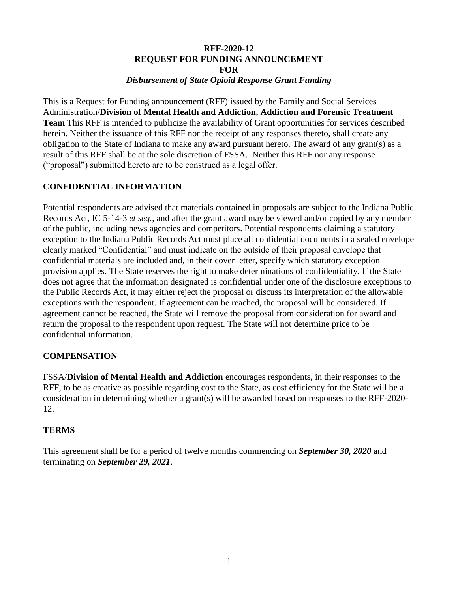#### **RFF-2020-12 REQUEST FOR FUNDING ANNOUNCEMENT FOR** *Disbursement of State Opioid Response Grant Funding*

This is a Request for Funding announcement (RFF) issued by the Family and Social Services Administration/**Division of Mental Health and Addiction, Addiction and Forensic Treatment Team** This RFF is intended to publicize the availability of Grant opportunities for services described herein. Neither the issuance of this RFF nor the receipt of any responses thereto, shall create any obligation to the State of Indiana to make any award pursuant hereto. The award of any grant(s) as a result of this RFF shall be at the sole discretion of FSSA. Neither this RFF nor any response ("proposal") submitted hereto are to be construed as a legal offer.

# **CONFIDENTIAL INFORMATION**

Potential respondents are advised that materials contained in proposals are subject to the Indiana Public Records Act, IC 5-14-3 *et seq.*, and after the grant award may be viewed and/or copied by any member of the public, including news agencies and competitors. Potential respondents claiming a statutory exception to the Indiana Public Records Act must place all confidential documents in a sealed envelope clearly marked "Confidential" and must indicate on the outside of their proposal envelope that confidential materials are included and, in their cover letter, specify which statutory exception provision applies. The State reserves the right to make determinations of confidentiality. If the State does not agree that the information designated is confidential under one of the disclosure exceptions to the Public Records Act, it may either reject the proposal or discuss its interpretation of the allowable exceptions with the respondent. If agreement can be reached, the proposal will be considered. If agreement cannot be reached, the State will remove the proposal from consideration for award and return the proposal to the respondent upon request. The State will not determine price to be confidential information.

### **COMPENSATION**

FSSA/**Division of Mental Health and Addiction** encourages respondents, in their responses to the RFF, to be as creative as possible regarding cost to the State, as cost efficiency for the State will be a consideration in determining whether a grant(s) will be awarded based on responses to the RFF-2020- 12.

### **TERMS**

This agreement shall be for a period of twelve months commencing on *September 30, 2020* and terminating on *September 29, 2021*.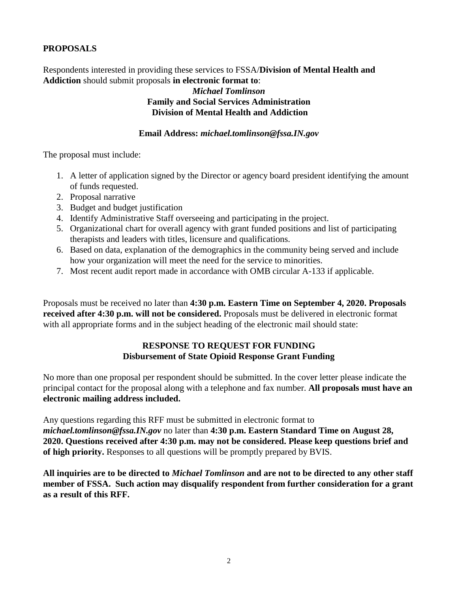# **PROPOSALS**

Respondents interested in providing these services to FSSA/**Division of Mental Health and Addiction** should submit proposals **in electronic format to**:

#### *Michael Tomlinson* **Family and Social Services Administration Division of Mental Health and Addiction**

#### **Email Address:** *michael.tomlinson@fssa.IN.gov*

The proposal must include:

- 1. A letter of application signed by the Director or agency board president identifying the amount of funds requested.
- 2. Proposal narrative
- 3. Budget and budget justification
- 4. Identify Administrative Staff overseeing and participating in the project.
- 5. Organizational chart for overall agency with grant funded positions and list of participating therapists and leaders with titles, licensure and qualifications.
- 6. Based on data, explanation of the demographics in the community being served and include how your organization will meet the need for the service to minorities.
- 7. Most recent audit report made in accordance with OMB circular A-133 if applicable.

Proposals must be received no later than **4:30 p.m. Eastern Time on September 4, 2020. Proposals received after 4:30 p.m. will not be considered.** Proposals must be delivered in electronic format with all appropriate forms and in the subject heading of the electronic mail should state:

# **RESPONSE TO REQUEST FOR FUNDING Disbursement of State Opioid Response Grant Funding**

No more than one proposal per respondent should be submitted. In the cover letter please indicate the principal contact for the proposal along with a telephone and fax number. **All proposals must have an electronic mailing address included.**

Any questions regarding this RFF must be submitted in electronic format to *michael.tomlinson@fssa.IN.gov* no later than **4:30 p.m. Eastern Standard Time on August 28, 2020. Questions received after 4:30 p.m. may not be considered. Please keep questions brief and of high priority.** Responses to all questions will be promptly prepared by BVIS.

**All inquiries are to be directed to** *Michael Tomlinson* **and are not to be directed to any other staff member of FSSA. Such action may disqualify respondent from further consideration for a grant as a result of this RFF.**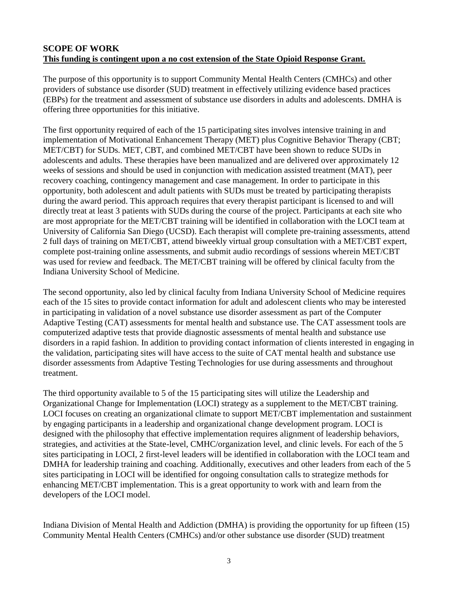### **SCOPE OF WORK This funding is contingent upon a no cost extension of the State Opioid Response Grant.**

The purpose of this opportunity is to support Community Mental Health Centers (CMHCs) and other providers of substance use disorder (SUD) treatment in effectively utilizing evidence based practices (EBPs) for the treatment and assessment of substance use disorders in adults and adolescents. DMHA is offering three opportunities for this initiative.

The first opportunity required of each of the 15 participating sites involves intensive training in and implementation of Motivational Enhancement Therapy (MET) plus Cognitive Behavior Therapy (CBT; MET/CBT) for SUDs. MET, CBT, and combined MET/CBT have been shown to reduce SUDs in adolescents and adults. These therapies have been manualized and are delivered over approximately 12 weeks of sessions and should be used in conjunction with medication assisted treatment (MAT), peer recovery coaching, contingency management and case management. In order to participate in this opportunity, both adolescent and adult patients with SUDs must be treated by participating therapists during the award period. This approach requires that every therapist participant is licensed to and will directly treat at least 3 patients with SUDs during the course of the project. Participants at each site who are most appropriate for the MET/CBT training will be identified in collaboration with the LOCI team at University of California San Diego (UCSD). Each therapist will complete pre-training assessments, attend 2 full days of training on MET/CBT, attend biweekly virtual group consultation with a MET/CBT expert, complete post-training online assessments, and submit audio recordings of sessions wherein MET/CBT was used for review and feedback. The MET/CBT training will be offered by clinical faculty from the Indiana University School of Medicine.

The second opportunity, also led by clinical faculty from Indiana University School of Medicine requires each of the 15 sites to provide contact information for adult and adolescent clients who may be interested in participating in validation of a novel substance use disorder assessment as part of the Computer Adaptive Testing (CAT) assessments for mental health and substance use. The CAT assessment tools are computerized adaptive tests that provide diagnostic assessments of mental health and substance use disorders in a rapid fashion. In addition to providing contact information of clients interested in engaging in the validation, participating sites will have access to the suite of CAT mental health and substance use disorder assessments from Adaptive Testing Technologies for use during assessments and throughout treatment.

The third opportunity available to 5 of the 15 participating sites will utilize the Leadership and Organizational Change for Implementation (LOCI) strategy as a supplement to the MET/CBT training. LOCI focuses on creating an organizational climate to support MET/CBT implementation and sustainment by engaging participants in a leadership and organizational change development program. LOCI is designed with the philosophy that effective implementation requires alignment of leadership behaviors, strategies, and activities at the State-level, CMHC/organization level, and clinic levels. For each of the 5 sites participating in LOCI, 2 first-level leaders will be identified in collaboration with the LOCI team and DMHA for leadership training and coaching. Additionally, executives and other leaders from each of the 5 sites participating in LOCI will be identified for ongoing consultation calls to strategize methods for enhancing MET/CBT implementation. This is a great opportunity to work with and learn from the developers of the LOCI model.

Indiana Division of Mental Health and Addiction (DMHA) is providing the opportunity for up fifteen (15) Community Mental Health Centers (CMHCs) and/or other substance use disorder (SUD) treatment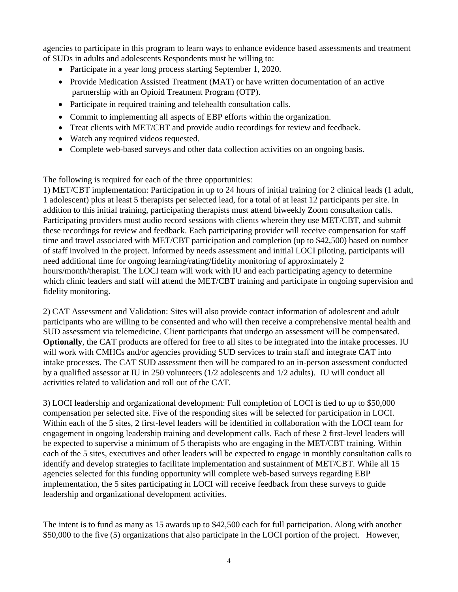agencies to participate in this program to learn ways to enhance evidence based assessments and treatment of SUDs in adults and adolescents Respondents must be willing to:

- Participate in a year long process starting September 1, 2020.
- Provide Medication Assisted Treatment (MAT) or have written documentation of an active partnership with an Opioid Treatment Program (OTP).
- Participate in required training and telehealth consultation calls.
- Commit to implementing all aspects of EBP efforts within the organization.
- Treat clients with MET/CBT and provide audio recordings for review and feedback.
- Watch any required videos requested.
- Complete web-based surveys and other data collection activities on an ongoing basis.

The following is required for each of the three opportunities:

1) MET/CBT implementation: Participation in up to 24 hours of initial training for 2 clinical leads (1 adult, 1 adolescent) plus at least 5 therapists per selected lead, for a total of at least 12 participants per site. In addition to this initial training, participating therapists must attend biweekly Zoom consultation calls. Participating providers must audio record sessions with clients wherein they use MET/CBT, and submit these recordings for review and feedback. Each participating provider will receive compensation for staff time and travel associated with MET/CBT participation and completion (up to \$42,500) based on number of staff involved in the project. Informed by needs assessment and initial LOCI piloting, participants will need additional time for ongoing learning/rating/fidelity monitoring of approximately 2 hours/month/therapist. The LOCI team will work with IU and each participating agency to determine which clinic leaders and staff will attend the MET/CBT training and participate in ongoing supervision and fidelity monitoring.

2) CAT Assessment and Validation: Sites will also provide contact information of adolescent and adult participants who are willing to be consented and who will then receive a comprehensive mental health and SUD assessment via telemedicine. Client participants that undergo an assessment will be compensated. **Optionally**, the CAT products are offered for free to all sites to be integrated into the intake processes. IU will work with CMHCs and/or agencies providing SUD services to train staff and integrate CAT into intake processes. The CAT SUD assessment then will be compared to an in-person assessment conducted by a qualified assessor at IU in 250 volunteers (1/2 adolescents and 1/2 adults). IU will conduct all activities related to validation and roll out of the CAT.

3) LOCI leadership and organizational development: Full completion of LOCI is tied to up to \$50,000 compensation per selected site. Five of the responding sites will be selected for participation in LOCI. Within each of the 5 sites, 2 first-level leaders will be identified in collaboration with the LOCI team for engagement in ongoing leadership training and development calls. Each of these 2 first-level leaders will be expected to supervise a minimum of 5 therapists who are engaging in the MET/CBT training. Within each of the 5 sites, executives and other leaders will be expected to engage in monthly consultation calls to identify and develop strategies to facilitate implementation and sustainment of MET/CBT. While all 15 agencies selected for this funding opportunity will complete web-based surveys regarding EBP implementation, the 5 sites participating in LOCI will receive feedback from these surveys to guide leadership and organizational development activities.

The intent is to fund as many as 15 awards up to \$42,500 each for full participation. Along with another \$50,000 to the five (5) organizations that also participate in the LOCI portion of the project. However,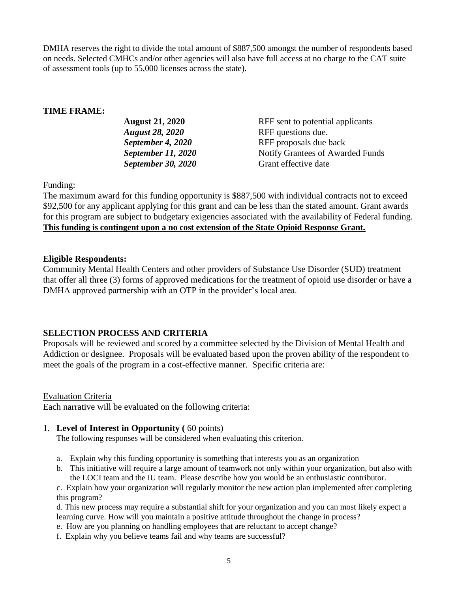DMHA reserves the right to divide the total amount of \$887,500 amongst the number of respondents based on needs. Selected CMHCs and/or other agencies will also have full access at no charge to the CAT suite of assessment tools (up to 55,000 licenses across the state).

### **TIME FRAME:**

| <b>August 21, 2020</b>    | RFF sent to potential applicants |
|---------------------------|----------------------------------|
| <b>August 28, 2020</b>    | RFF questions due.               |
| September 4, 2020         | RFF proposals due back           |
| <b>September 11, 2020</b> | Notify Grantees of Awarded Funds |
| <b>September 30, 2020</b> | Grant effective date             |

Funding:

The maximum award for this funding opportunity is \$887,500 with individual contracts not to exceed \$92,500 for any applicant applying for this grant and can be less than the stated amount. Grant awards for this program are subject to budgetary exigencies associated with the availability of Federal funding. **This funding is contingent upon a no cost extension of the State Opioid Response Grant.**

#### **Eligible Respondents:**

Community Mental Health Centers and other providers of Substance Use Disorder (SUD) treatment that offer all three (3) forms of approved medications for the treatment of opioid use disorder or have a DMHA approved partnership with an OTP in the provider's local area.

### **SELECTION PROCESS AND CRITERIA**

Proposals will be reviewed and scored by a committee selected by the Division of Mental Health and Addiction or designee. Proposals will be evaluated based upon the proven ability of the respondent to meet the goals of the program in a cost-effective manner. Specific criteria are:

#### Evaluation Criteria

Each narrative will be evaluated on the following criteria:

### 1. **Level of Interest in Opportunity (** 60 points)

The following responses will be considered when evaluating this criterion.

- a. Explain why this funding opportunity is something that interests you as an organization
- b. This initiative will require a large amount of teamwork not only within your organization, but also with the LOCI team and the IU team. Please describe how you would be an enthusiastic contributor.

c. Explain how your organization will regularly monitor the new action plan implemented after completing this program?

d. This new process may require a substantial shift for your organization and you can most likely expect a learning curve. How will you maintain a positive attitude throughout the change in process?

- e. How are you planning on handling employees that are reluctant to accept change?
- f. Explain why you believe teams fail and why teams are successful?